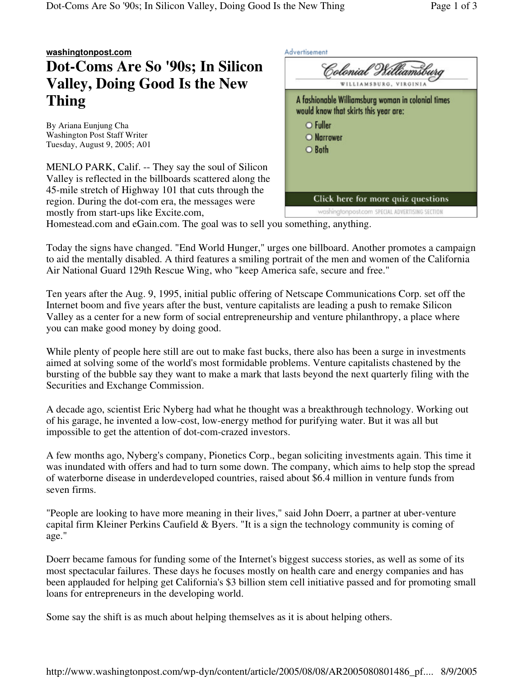## **washingtonpost.com Dot-Coms Are So '90s; In Silicon Valley, Doing Good Is the New Thing**

By Ariana Eunjung Cha Washington Post Staff Writer Tuesday, August 9, 2005; A01

MENLO PARK, Calif. -- They say the soul of Silicon Valley is reflected in the billboards scattered along the 45-mile stretch of Highway 101 that cuts through the region. During the dot-com era, the messages were mostly from start-ups like Excite.com,

| WILLIAMSBURG, VIRGINIA                                                                                                          |
|---------------------------------------------------------------------------------------------------------------------------------|
| A fashionable Williamsburg woman in colonial times<br>would know that skirts this year are:<br>O Fuller<br>O Narrower<br>○ Both |
| Click here for more quiz questions                                                                                              |
| washingfonpost.com SPECIAL ADVERTISING SECTION                                                                                  |

Homestead.com and eGain.com. The goal was to sell you something, anything.

Today the signs have changed. "End World Hunger," urges one billboard. Another promotes a campaign to aid the mentally disabled. A third features a smiling portrait of the men and women of the California Air National Guard 129th Rescue Wing, who "keep America safe, secure and free."

Advantisamant

Ten years after the Aug. 9, 1995, initial public offering of Netscape Communications Corp. set off the Internet boom and five years after the bust, venture capitalists are leading a push to remake Silicon Valley as a center for a new form of social entrepreneurship and venture philanthropy, a place where you can make good money by doing good.

While plenty of people here still are out to make fast bucks, there also has been a surge in investments aimed at solving some of the world's most formidable problems. Venture capitalists chastened by the bursting of the bubble say they want to make a mark that lasts beyond the next quarterly filing with the Securities and Exchange Commission.

A decade ago, scientist Eric Nyberg had what he thought was a breakthrough technology. Working out of his garage, he invented a low-cost, low-energy method for purifying water. But it was all but impossible to get the attention of dot-com-crazed investors.

A few months ago, Nyberg's company, Pionetics Corp., began soliciting investments again. This time it was inundated with offers and had to turn some down. The company, which aims to help stop the spread of waterborne disease in underdeveloped countries, raised about \$6.4 million in venture funds from seven firms.

"People are looking to have more meaning in their lives," said John Doerr, a partner at uber-venture capital firm Kleiner Perkins Caufield & Byers. "It is a sign the technology community is coming of age."

Doerr became famous for funding some of the Internet's biggest success stories, as well as some of its most spectacular failures. These days he focuses mostly on health care and energy companies and has been applauded for helping get California's \$3 billion stem cell initiative passed and for promoting small loans for entrepreneurs in the developing world.

Some say the shift is as much about helping themselves as it is about helping others.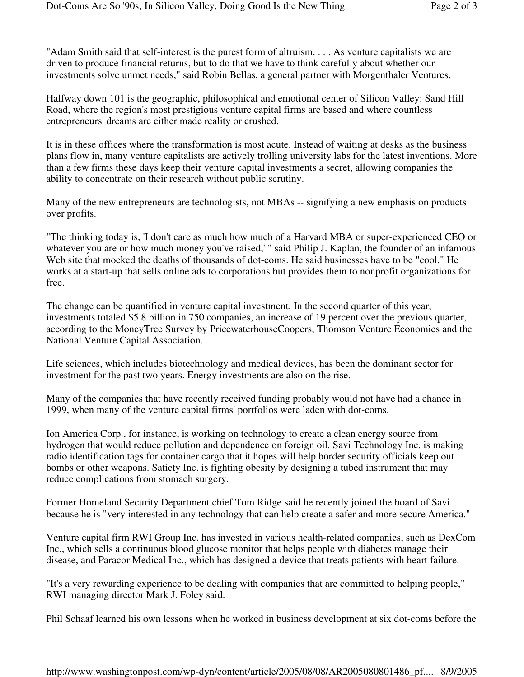"Adam Smith said that self-interest is the purest form of altruism. . . . As venture capitalists we are driven to produce financial returns, but to do that we have to think carefully about whether our investments solve unmet needs," said Robin Bellas, a general partner with Morgenthaler Ventures.

Halfway down 101 is the geographic, philosophical and emotional center of Silicon Valley: Sand Hill Road, where the region's most prestigious venture capital firms are based and where countless entrepreneurs' dreams are either made reality or crushed.

It is in these offices where the transformation is most acute. Instead of waiting at desks as the business plans flow in, many venture capitalists are actively trolling university labs for the latest inventions. More than a few firms these days keep their venture capital investments a secret, allowing companies the ability to concentrate on their research without public scrutiny.

Many of the new entrepreneurs are technologists, not MBAs -- signifying a new emphasis on products over profits.

"The thinking today is, 'I don't care as much how much of a Harvard MBA or super-experienced CEO or whatever you are or how much money you've raised,' " said Philip J. Kaplan, the founder of an infamous Web site that mocked the deaths of thousands of dot-coms. He said businesses have to be "cool." He works at a start-up that sells online ads to corporations but provides them to nonprofit organizations for free.

The change can be quantified in venture capital investment. In the second quarter of this year, investments totaled \$5.8 billion in 750 companies, an increase of 19 percent over the previous quarter, according to the MoneyTree Survey by PricewaterhouseCoopers, Thomson Venture Economics and the National Venture Capital Association.

Life sciences, which includes biotechnology and medical devices, has been the dominant sector for investment for the past two years. Energy investments are also on the rise.

Many of the companies that have recently received funding probably would not have had a chance in 1999, when many of the venture capital firms' portfolios were laden with dot-coms.

Ion America Corp., for instance, is working on technology to create a clean energy source from hydrogen that would reduce pollution and dependence on foreign oil. Savi Technology Inc. is making radio identification tags for container cargo that it hopes will help border security officials keep out bombs or other weapons. Satiety Inc. is fighting obesity by designing a tubed instrument that may reduce complications from stomach surgery.

Former Homeland Security Department chief Tom Ridge said he recently joined the board of Savi because he is "very interested in any technology that can help create a safer and more secure America."

Venture capital firm RWI Group Inc. has invested in various health-related companies, such as DexCom Inc., which sells a continuous blood glucose monitor that helps people with diabetes manage their disease, and Paracor Medical Inc., which has designed a device that treats patients with heart failure.

"It's a very rewarding experience to be dealing with companies that are committed to helping people," RWI managing director Mark J. Foley said.

Phil Schaaf learned his own lessons when he worked in business development at six dot-coms before the